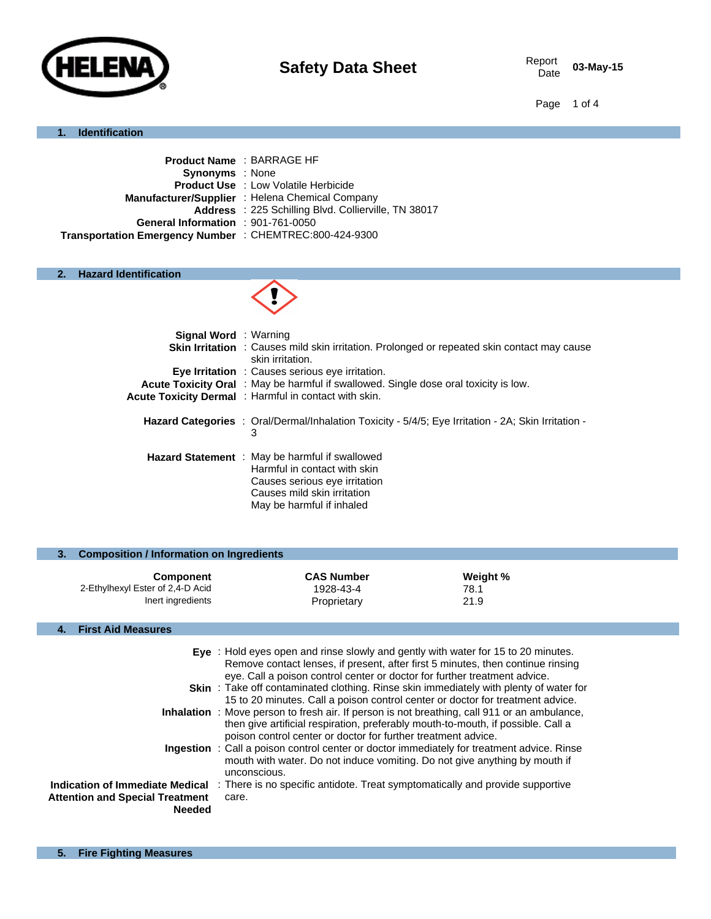

03-May-15

Page 1 of 4

#### **1. Identification**

|                                                         | <b>Product Name: BARRAGE HF</b>                      |
|---------------------------------------------------------|------------------------------------------------------|
| <b>Synonyms</b> : None                                  |                                                      |
|                                                         | <b>Product Use : Low Volatile Herbicide</b>          |
|                                                         | Manufacturer/Supplier: Helena Chemical Company       |
|                                                         | Address : 225 Schilling Blvd. Collierville, TN 38017 |
| General Information : 901-761-0050                      |                                                      |
| Transportation Emergency Number : CHEMTREC:800-424-9300 |                                                      |
|                                                         |                                                      |

## **2. Hazard Identification**



| <b>Signal Word</b> : Warning |                                                                                                                                                                                    |
|------------------------------|------------------------------------------------------------------------------------------------------------------------------------------------------------------------------------|
|                              | <b>Skin Irritation</b> : Causes mild skin irritation. Prolonged or repeated skin contact may cause<br>skin irritation.                                                             |
|                              | <b>Eve Irritation</b> : Causes serious eve irritation.                                                                                                                             |
|                              | <b>Acute Toxicity Oral</b> : May be harmful if swallowed. Single dose oral toxicity is low.                                                                                        |
|                              | Acute Toxicity Dermal: Harmful in contact with skin.                                                                                                                               |
|                              | <b>Hazard Categories</b> : Oral/Dermal/Inhalation Toxicity - 5/4/5; Eye Irritation - 2A; Skin Irritation -<br>3                                                                    |
|                              | <b>Hazard Statement</b> : May be harmful if swallowed<br>Harmful in contact with skin<br>Causes serious eye irritation<br>Causes mild skin irritation<br>May be harmful if inhaled |

| 3.                                                                                                                                                                                                                                                                                                                                                                                                                                   | <b>Composition / Information on Ingredients</b>                           |                                                                                                     |                          |  |
|--------------------------------------------------------------------------------------------------------------------------------------------------------------------------------------------------------------------------------------------------------------------------------------------------------------------------------------------------------------------------------------------------------------------------------------|---------------------------------------------------------------------------|-----------------------------------------------------------------------------------------------------|--------------------------|--|
|                                                                                                                                                                                                                                                                                                                                                                                                                                      | <b>Component</b><br>2-Ethylhexyl Ester of 2,4-D Acid<br>Inert ingredients | <b>CAS Number</b><br>1928-43-4<br>Proprietary                                                       | Weight %<br>78.1<br>21.9 |  |
| 4.                                                                                                                                                                                                                                                                                                                                                                                                                                   | <b>First Aid Measures</b>                                                 |                                                                                                     |                          |  |
| Eye : Hold eyes open and rinse slowly and gently with water for 15 to 20 minutes.<br>Remove contact lenses, if present, after first 5 minutes, then continue rinsing<br>eye. Call a poison control center or doctor for further treatment advice.<br><b>Skin</b> : Take off contaminated clothing. Rinse skin immediately with plenty of water for<br>15 to 20 minutes. Call a poison control center or doctor for treatment advice. |                                                                           |                                                                                                     |                          |  |
|                                                                                                                                                                                                                                                                                                                                                                                                                                      |                                                                           | <b>Inhalation</b> : Move person to fresh air. If person is not breathing, call 911 or an ambulance, |                          |  |

| <b>INTRIBUTE: INDIVIDENT IN THE REPORT OF THE PUBLIC DISCIPLING, OUT OF LIFT OF AN INSTRUSS.</b> |
|--------------------------------------------------------------------------------------------------|
| then give artificial respiration, preferably mouth-to-mouth, if possible. Call a                 |
| poison control center or doctor for further treatment advice.                                    |
| Ingestion : Call a poison control center or doctor immediately for treatment advice. Rinse       |

# mouth with water. Do not induce vomiting. Do not give anything by mouth if unconscious.

**Indication of Immediate Medical** : There is no specific antidote. Treat symptomatically and provide supportive **Attention and Special Treatment Needed** care.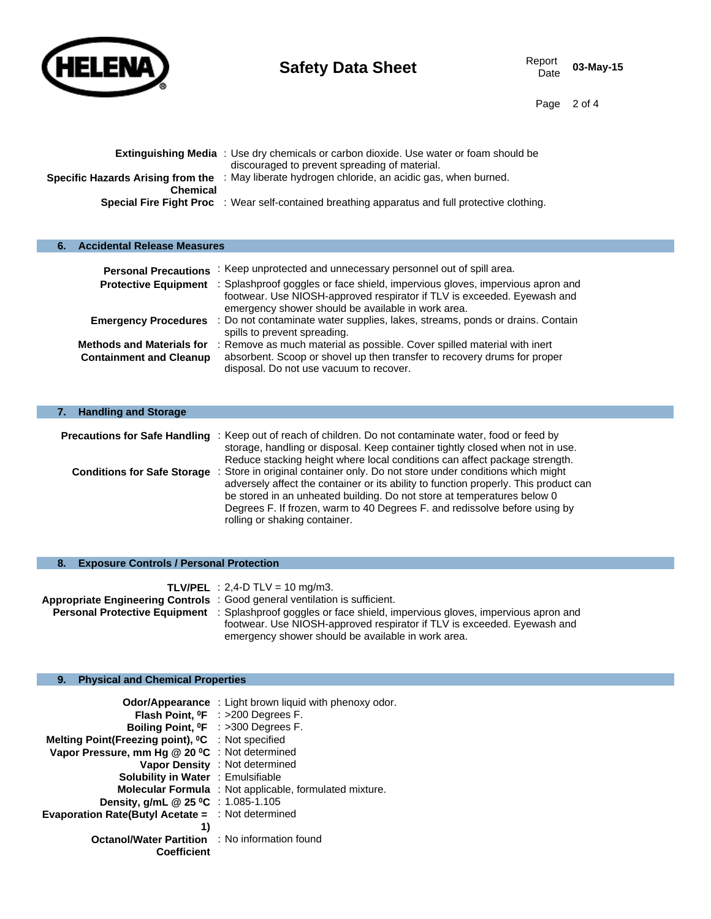

**6. Accidental Release Measures**

03-May-15

Page 2 of 4

|                 | <b>Extinguishing Media</b> : Use dry chemicals or carbon dioxide. Use water or foam should be<br>discouraged to prevent spreading of material. |
|-----------------|------------------------------------------------------------------------------------------------------------------------------------------------|
| <b>Chemical</b> | <b>Specific Hazards Arising from the</b> : May liberate hydrogen chloride, an acidic gas, when burned.                                         |
|                 | <b>Special Fire Fight Proc</b> : Wear self-contained breathing apparatus and full protective clothing.                                         |
|                 |                                                                                                                                                |

| <b>Personal Precautions</b>                                        | : Keep unprotected and unnecessary personnel out of spill area.                                                                                                                                                                     |
|--------------------------------------------------------------------|-------------------------------------------------------------------------------------------------------------------------------------------------------------------------------------------------------------------------------------|
|                                                                    | Protective Equipment : Splashproof goggles or face shield, impervious gloves, impervious apron and<br>footwear. Use NIOSH-approved respirator if TLV is exceeded. Eyewash and<br>emergency shower should be available in work area. |
|                                                                    | Emergency Procedures : Do not contaminate water supplies, lakes, streams, ponds or drains. Contain<br>spills to prevent spreading.                                                                                                  |
| <b>Methods and Materials for</b><br><b>Containment and Cleanup</b> | : Remove as much material as possible. Cover spilled material with inert<br>absorbent. Scoop or shovel up then transfer to recovery drums for proper<br>disposal. Do not use vacuum to recover.                                     |

| <b>Handling and Storage</b> |                                                                                                                                                                                                                                                                                                                                                                                                    |
|-----------------------------|----------------------------------------------------------------------------------------------------------------------------------------------------------------------------------------------------------------------------------------------------------------------------------------------------------------------------------------------------------------------------------------------------|
|                             | <b>Precautions for Safe Handling</b> : Keep out of reach of children. Do not contaminate water, food or feed by<br>storage, handling or disposal. Keep container tightly closed when not in use.<br>Reduce stacking height where local conditions can affect package strength.                                                                                                                     |
|                             | <b>Conditions for Safe Storage</b> : Store in original container only. Do not store under conditions which might<br>adversely affect the container or its ability to function properly. This product can<br>be stored in an unheated building. Do not store at temperatures below 0<br>Degrees F. If frozen, warm to 40 Degrees F. and redissolve before using by<br>rolling or shaking container. |

# **8. Exposure Controls / Personal Protection**

| <b>TLV/PEL</b> : 2,4-D TLV = 10 mg/m3.                                                                             |
|--------------------------------------------------------------------------------------------------------------------|
| Appropriate Engineering Controls : Good general ventilation is sufficient.                                         |
| <b>Personal Protective Equipment</b> : Splashproof goggles or face shield, impervious gloves, impervious apron and |
| footwear. Use NIOSH-approved respirator if TLV is exceeded. Eyewash and                                            |
| emergency shower should be available in work area.                                                                 |

## **9. Physical and Chemical Properties**

|                                                               | <b>Odor/Appearance</b> : Light brown liquid with phenoxy odor. |
|---------------------------------------------------------------|----------------------------------------------------------------|
|                                                               | <b>Flash Point, <math>^{\circ}</math>F</b> : >200 Degrees F.   |
| Boiling Point, <sup>o</sup> F : >300 Degrees F.               |                                                                |
| Melting Point(Freezing point), <sup>o</sup> C : Not specified |                                                                |
| Vapor Pressure, mm Hg @ 20 °C : Not determined                |                                                                |
|                                                               | Vapor Density : Not determined                                 |
| <b>Solubility in Water : Emulsifiable</b>                     |                                                                |
|                                                               | <b>Molecular Formula</b> : Not applicable, formulated mixture. |
| <b>Density, g/mL @ 25 °C</b> : 1.085-1.105                    |                                                                |
| <b>Evaporation Rate(Butyl Acetate = : Not determined</b>      |                                                                |
| 1)                                                            |                                                                |
| <b>Octanol/Water Partition</b> : No information found         |                                                                |
| <b>Coefficient</b>                                            |                                                                |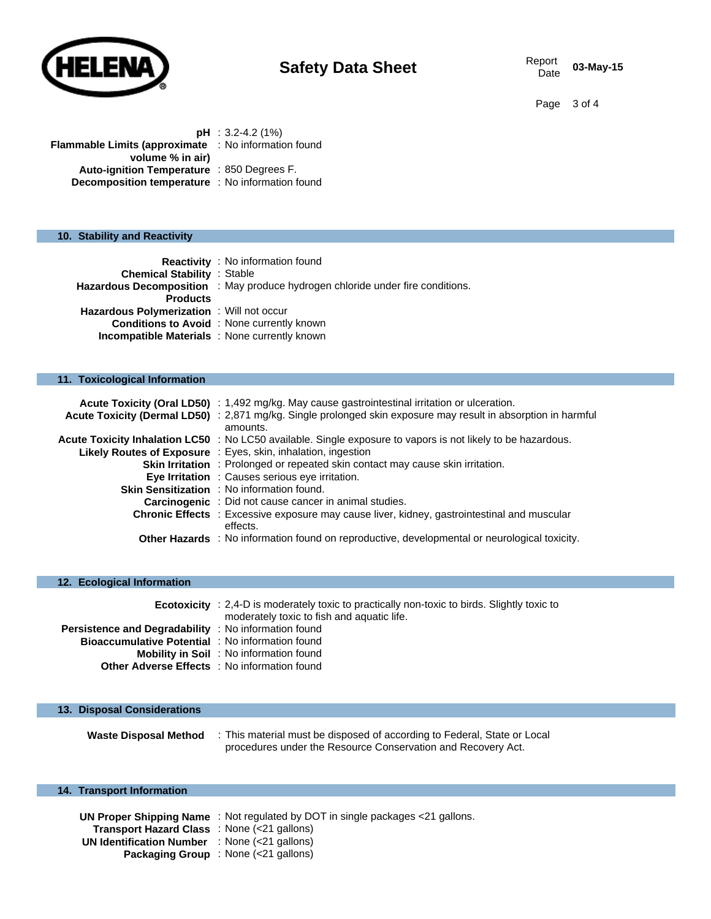

Page 3 of 4

|                                                             | $pH : 3.2 - 4.2$ (1%) |
|-------------------------------------------------------------|-----------------------|
| <b>Flammable Limits (approximate : No information found</b> |                       |
| volume % in air)                                            |                       |
| Auto-ignition Temperature : 850 Degrees F.                  |                       |
| <b>Decomposition temperature</b> : No information found     |                       |

#### **10. Stability and Reactivity**

|                                               | <b>Reactivity</b> : No information found                                       |
|-----------------------------------------------|--------------------------------------------------------------------------------|
| <b>Chemical Stability : Stable</b>            |                                                                                |
|                                               | Hazardous Decomposition : May produce hydrogen chloride under fire conditions. |
| <b>Products</b>                               |                                                                                |
| Hazardous Polymerization: Will not occur      |                                                                                |
|                                               | <b>Conditions to Avoid</b> : None currently known                              |
| Incompatible Materials : None currently known |                                                                                |
|                                               |                                                                                |

#### **11. Toxicological Information**

| Acute Toxicity (Oral LD50) : 1,492 mg/kg. May cause gastrointestinal irritation or ulceration.                 |
|----------------------------------------------------------------------------------------------------------------|
| Acute Toxicity (Dermal LD50) : 2,871 mg/kg. Single prolonged skin exposure may result in absorption in harmful |
| amounts.                                                                                                       |
| Acute Toxicity Inhalation LC50 : No LC50 available. Single exposure to vapors is not likely to be hazardous.   |
| Likely Routes of Exposure : Eyes, skin, inhalation, ingestion                                                  |
| <b>Skin Irritation</b> : Prolonged or repeated skin contact may cause skin irritation.                         |
| Eye Irritation : Causes serious eye irritation.                                                                |
| <b>Skin Sensitization</b> : No information found.                                                              |
| <b>Carcinogenic</b> : Did not cause cancer in animal studies.                                                  |
| <b>Chronic Effects</b> : Excessive exposure may cause liver, kidney, gastrointestinal and muscular             |
| effects.                                                                                                       |
| Other Hazards : No information found on reproductive, developmental or neurological toxicity.                  |

| 12. Ecological Information                                  |                                                                                                                                                   |
|-------------------------------------------------------------|---------------------------------------------------------------------------------------------------------------------------------------------------|
|                                                             | <b>Ecotoxicity</b> : 2,4-D is moderately toxic to practically non-toxic to birds. Slightly toxic to<br>moderately toxic to fish and aquatic life. |
| <b>Persistence and Degradability</b> : No information found |                                                                                                                                                   |
| <b>Bioaccumulative Potential : No information found</b>     |                                                                                                                                                   |
|                                                             | <b>Mobility in Soil</b> : No information found                                                                                                    |
| <b>Other Adverse Effects</b> : No information found         |                                                                                                                                                   |
|                                                             |                                                                                                                                                   |

#### **13. Disposal Considerations**

**Waste Disposal Method** : This material must be disposed of according to Federal, State or Local procedures under the Resource Conservation and Recovery Act.

### **14. Transport Information**

**UN Proper Shipping Name** : Not regulated by DOT in single packages <21 gallons. **Transport Hazard Class** : None (<21 gallons) **UN Identification Number** : None (<21 gallons) **Packaging Group** : None (<21 gallons)